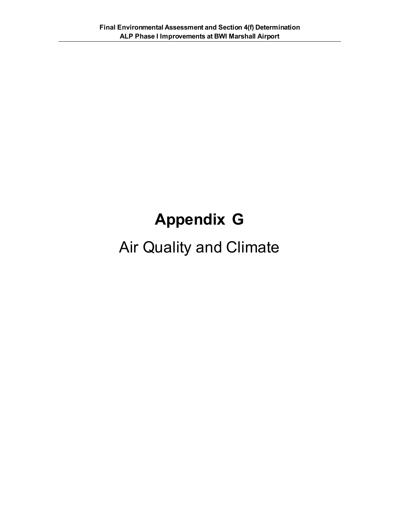# **Appendix G**

# Air Quality and Climate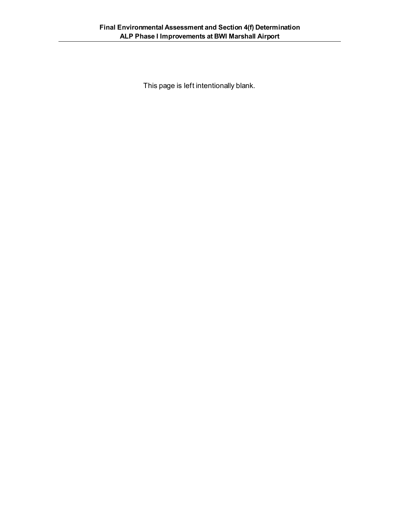This page is left intentionally blank.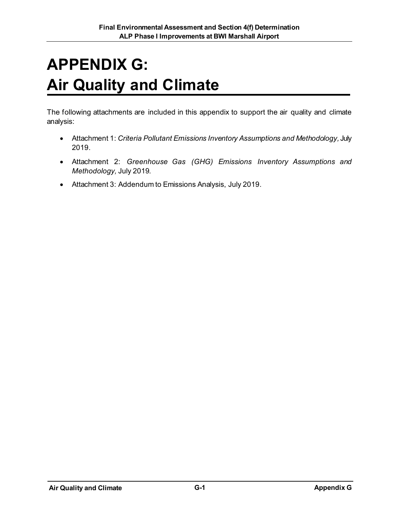# **APPENDIX G: Air Quality and Climate**

The following attachments are included in this appendix to support the air quality and climate analysis:

- Attachment 1: *Criteria Pollutant Emissions Inventory Assumptions and Methodology,* July 2019.
- Attachment 2: *Greenhouse Gas (GHG) Emissions Inventory Assumptions and Methodology,* July 2019.
- Attachment 3: Addendum to Emissions Analysis, July 2019.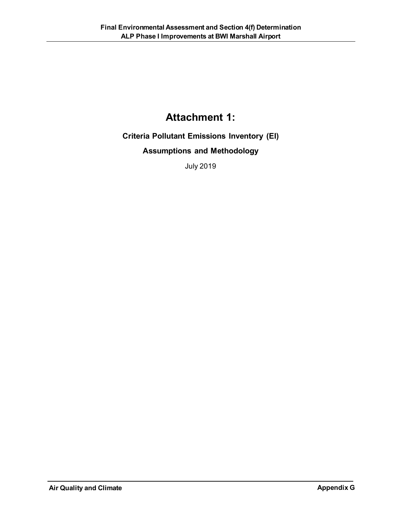# **Attachment 1:**

## **Criteria Pollutant Emissions Inventory (EI)**

## **Assumptions and Methodology**

July 2019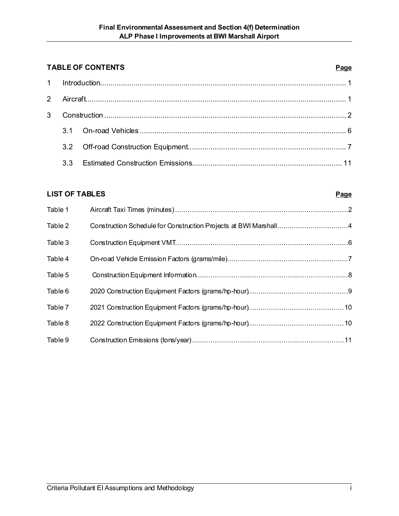### **TABLE OF CONTENTS Page**

| 3 |  |  |
|---|--|--|
|   |  |  |
|   |  |  |
|   |  |  |

### **LIST OF TABLES Research 2008**

| Table 1 |                                                                  |  |
|---------|------------------------------------------------------------------|--|
| Table 2 | Construction Schedule for Construction Projects at BWI Marshall4 |  |
| Table 3 |                                                                  |  |
| Table 4 |                                                                  |  |
| Table 5 |                                                                  |  |
| Table 6 |                                                                  |  |
| Table 7 |                                                                  |  |
| Table 8 |                                                                  |  |
| Table 9 |                                                                  |  |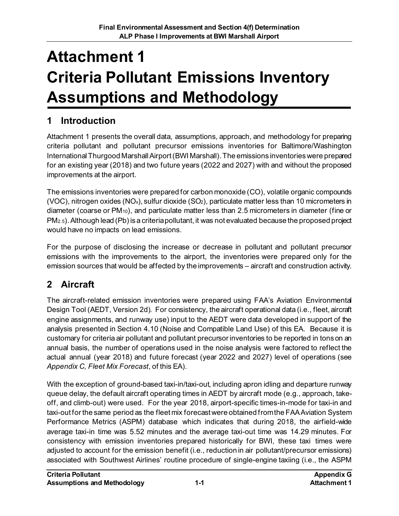# **Attachment 1 Criteria Pollutant Emissions Inventory Assumptions and Methodology**

# <span id="page-5-0"></span>**1 Introduction**

Attachment 1 presents the overall data, assumptions, approach, and methodology for preparing criteria pollutant and pollutant precursor emissions inventories for Baltimore/Washington International Thurgood Marshall Airport (BWI Marshall). The emissions inventories were prepared for an existing year (2018) and two future years (2022 and 2027) with and without the proposed improvements at the airport.

The emissions inventories were prepared for carbon monoxide (CO), volatile organic compounds (VOC), nitrogen oxides  $(NO<sub>x</sub>)$ , sulfur dioxide  $(SO<sub>2</sub>)$ , particulate matter less than 10 micrometers in diameter (coarse or PM10), and particulate matter less than 2.5 micrometers in diameter (fine or PM2.5). Although lead (Pb) is a criteria pollutant, it was not evaluated because the proposed project would have no impacts on lead emissions.

For the purpose of disclosing the increase or decrease in pollutant and pollutant precursor emissions with the improvements to the airport, the inventories were prepared only for the emission sources that would be affected by the improvements – aircraft and construction activity.

# <span id="page-5-1"></span>**2 Aircraft**

The aircraft-related emission inventories were prepared using FAA's Aviation Environmental Design Tool (AEDT, Version 2d). For consistency, the aircraft operational data (i.e., fleet, aircraft engine assignments, and runway use) input to the AEDT were data developed in support of the analysis presented in Section 4.10 (Noise and Compatible Land Use) of this EA. Because it is customary for criteria air pollutant and pollutant precursor inventories to be reported in tons on an annual basis, the number of operations used in the noise analysis were factored to reflect the actual annual (year 2018) and future forecast (year 2022 and 2027) level of operations (see *Appendix C, Fleet Mix Forecast*, of this EA).

With the exception of ground-based taxi-in/taxi-out, including apron idling and departure runway queue delay, the default aircraft operating times in AEDT by aircraft mode (e.g., approach, takeoff, and climb-out) were used. For the year 2018, airport-specific times-in-mode for taxi-in and taxi-out for the same period as the fleet mix forecast were obtained from the FAA Aviation System Performance Metrics (ASPM) database which indicates that during 2018, the airfield-wide average taxi-in time was 5.52 minutes and the average taxi-out time was 14.29 minutes. For consistency with emission inventories prepared historically for BWI, these taxi times were adjusted to account for the emission benefit (i.e., reduction in air pollutant/precursor emissions) associated with Southwest Airlines' routine procedure of single-engine taxiing (i.e., the ASPM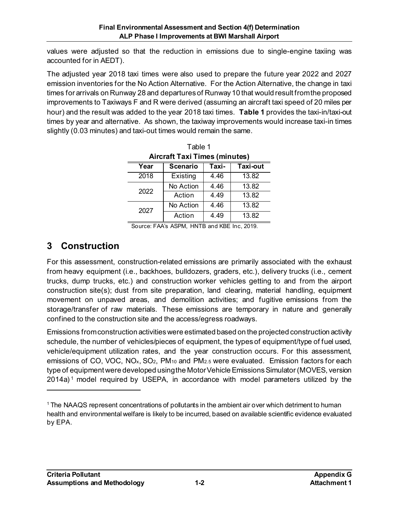values were adjusted so that the reduction in emissions due to single-engine taxiing was accounted for in AEDT).

The adjusted year 2018 taxi times were also used to prepare the future year 2022 and 2027 emission inventories for the No Action Alternative. For the Action Alternative, the change in taxi times for arrivals on Runway 28 and departures of Runway 10 that would result from the proposed improvements to Taxiways F and R were derived (assuming an aircraft taxi speed of 20 miles per hour) and the result was added to the year 2018 taxi times. **Table 1** provides the taxi-in/taxi-out times by year and alternative. As shown, the taxiway improvements would increase taxi-in times slightly (0.03 minutes) and taxi-out times would remain the same.

| таоне т<br><b>Aircraft Taxi Times (minutes)</b> |                 |       |          |  |  |  |  |  |
|-------------------------------------------------|-----------------|-------|----------|--|--|--|--|--|
| Year                                            | <b>Scenario</b> | Taxi- | Taxi-out |  |  |  |  |  |
| 2018                                            | Existing        | 4.46  | 13.82    |  |  |  |  |  |
|                                                 | No Action       | 4.46  | 13.82    |  |  |  |  |  |
| 2022                                            | Action          | 4.49  | 13.82    |  |  |  |  |  |
| 2027                                            | No Action       | 4.46  | 13.82    |  |  |  |  |  |
|                                                 | Action          | 4.49  | 13.82    |  |  |  |  |  |

<span id="page-6-1"></span> $T = b \cdot a$ 

Source: FAA's ASPM, HNTB and KBE Inc, 2019.

# <span id="page-6-0"></span>**3 Construction**

For this assessment, construction-related emissions are primarily associated with the exhaust from heavy equipment (i.e., backhoes, bulldozers, graders, etc.), delivery trucks (i.e., cement trucks, dump trucks, etc.) and construction worker vehicles getting to and from the airport construction site(s); dust from site preparation, land clearing, material handling, equipment movement on unpaved areas, and demolition activities; and fugitive emissions from the storage/transfer of raw materials. These emissions are temporary in nature and generally confined to the construction site and the access/egress roadways.

Emissions from construction activities were estimated based on the projected construction activity schedule, the number of vehicles/pieces of equipment, the types of equipment/type of fuel used, vehicle/equipment utilization rates, and the year construction occurs. For this assessment, emissions of CO, VOC, NO<sub>x</sub>, SO<sub>2</sub>, PM<sub>10</sub> and PM<sub>2.5</sub> were evaluated. Emission factors for each type of equipment were developed using the Motor Vehicle Emissions Simulator (MOVES, version 20[1](#page-6-2)4a)<sup>1</sup> model required by USEPA, in accordance with model parameters utilized by the

<span id="page-6-2"></span><sup>&</sup>lt;sup>1</sup> The NAAQS represent concentrations of pollutants in the ambient air over which detriment to human health and environmental welfare is likely to be incurred, based on available scientific evidence evaluated by EPA.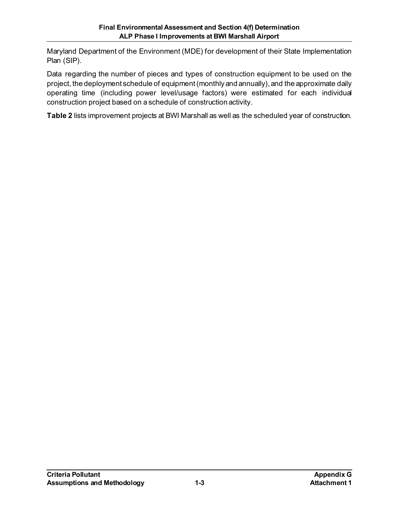Maryland Department of the Environment (MDE) for development of their State Implementation Plan (SIP).

Data regarding the number of pieces and types of construction equipment to be used on the project, the deployment schedule of equipment (monthly and annually), and the approximate daily operating time (including power level/usage factors) were estimated for each individual construction project based on a schedule of construction activity.

**Table 2** lists improvement projects at BWI Marshall as well as the scheduled year of construction.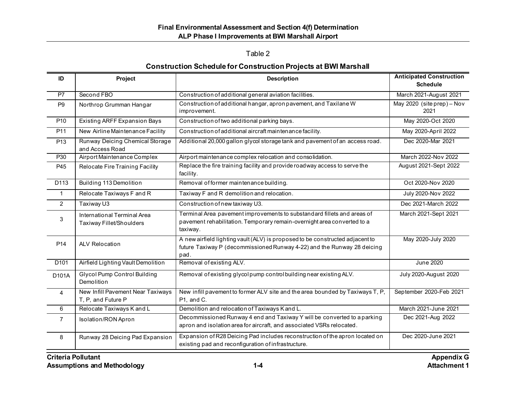#### <span id="page-8-0"></span>Table 2

### **Construction Schedule for Construction Projects at BWI Marshall**

| ID               | Project                                                 | <b>Description</b>                                                                                                                                               | <b>Anticipated Construction</b><br><b>Schedule</b> |
|------------------|---------------------------------------------------------|------------------------------------------------------------------------------------------------------------------------------------------------------------------|----------------------------------------------------|
| P7               | Second FBO                                              | Construction of additional general aviation facilities.                                                                                                          | March 2021-August 2021                             |
| P <sub>9</sub>   | Northrop Grumman Hangar                                 | Construction of additional hangar, apron pavement, and Taxilane W<br>improvement.                                                                                | May 2020 (site prep) - Nov<br>2021                 |
| P <sub>10</sub>  | <b>Existing ARFF Expansion Bays</b>                     | Construction of two additional parking bays.                                                                                                                     | May 2020-Oct 2020                                  |
| P <sub>11</sub>  | New Airline Maintenance Facility                        | Construction of additional aircraft maintenance facility.                                                                                                        | May 2020-April 2022                                |
| P <sub>13</sub>  | Runway Deicing Chemical Storage<br>and Access Road      | Additional 20,000 gallon glycol storage tank and pavement of an access road.                                                                                     | Dec 2020-Mar 2021                                  |
| P <sub>30</sub>  | Airport Maintenance Complex                             | Airport maintenance complex relocation and consolidation.                                                                                                        | March 2022-Nov 2022                                |
| P45              | Relocate Fire Training Facility                         | Replace the fire training facility and provide roadway access to serve the<br>facility.                                                                          | August 2021-Sept 2022                              |
| D <sub>113</sub> | Building 113 Demolition                                 | Removal of former maintenance building.                                                                                                                          | Oct 2020-Nov 2020                                  |
| $\mathbf 1$      | Relocate Taxiways F and R                               | Taxiway F and R demolition and relocation.                                                                                                                       | July 2020-Nov 2022                                 |
| 2                | Taxiway U3                                              | Construction of new taxiway U3.                                                                                                                                  | Dec 2021-March 2022                                |
| 3                | International Terminal Area<br>Taxiway Fillet/Shoulders | Terminal Area pavement improvements to substandard fillets and areas of<br>pavement rehabilitation. Temporary remain-overnight area converted to a<br>taxiway.   | March 2021-Sept 2021                               |
| P <sub>14</sub>  | <b>ALV Relocation</b>                                   | A new airfield lighting vault (ALV) is proposed to be constructed adjacent to<br>future Taxiway P (decommissioned Runway 4-22) and the Runway 28 deicing<br>pad. | May 2020-July 2020                                 |
| D <sub>101</sub> | Airfield Lighting Vault Demolition                      | Removal of existing ALV.                                                                                                                                         | <b>June 2020</b>                                   |
| D101A            | Glycol Pump Control Building<br>Demolition              | Removal of existing glycol pump control building near existing ALV.                                                                                              | July 2020-August 2020                              |
| 4                | New Infill Pavement Near Taxiways<br>T, P, and Future P | New infill pavement to former ALV site and the area bounded by Taxiways T, P,<br>P1, and C.                                                                      | September 2020-Feb 2021                            |
| 6                | Relocate Taxiways K and L                               | Demolition and relocation of Taxiways K and L.                                                                                                                   | March 2021-June 2021                               |
| $\overline{7}$   | Isolation/RON Apron                                     | Decommissioned Runway 4 end and Taxiway Y will be converted to a parking<br>apron and isolation area for aircraft, and associated VSRs relocated.                | Dec 2021-Aug 2022                                  |
| 8                | Runway 28 Deicing Pad Expansion                         | Expansion of R28 Deicing Pad includes reconstruction of the apron located on<br>existing pad and reconfiguration of infrastructure.                              | Dec 2020-June 2021                                 |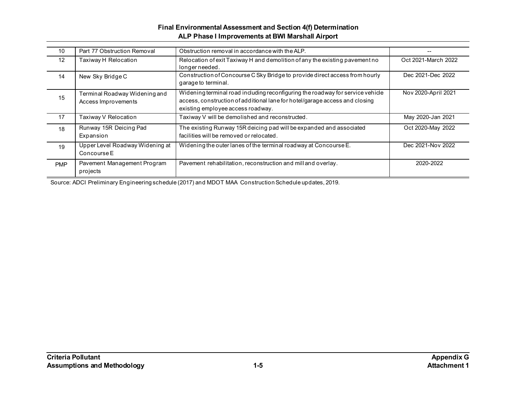#### **Final Environmental Assessment and Section 4(f) Determination ALP Phase I Improvements at BWI Marshall Airport**

| 10                | Part 77 Obstruction Removal                          | Obstruction removal in accordance with the ALP.                                                                                                                                                    |                     |
|-------------------|------------------------------------------------------|----------------------------------------------------------------------------------------------------------------------------------------------------------------------------------------------------|---------------------|
| $12 \overline{ }$ | Taxiway H Relocation                                 | Relocation of exit Taxiway H and demolition of any the existing pavement no<br>longer needed.                                                                                                      | Oct 2021-March 2022 |
| 14                | New Sky Bridge C                                     | Construction of Concourse C Sky Bridge to provide direct access from hourly<br>garage to terminal.                                                                                                 | Dec 2021-Dec 2022   |
| 15                | Terminal Roadway Widening and<br>Access Improvements | Widening terminal road including reconfiguring the roadway for service vehicle<br>access, construction of additional lane for hotel/garage access and closing<br>existing employee access roadway. | Nov 2020-April 2021 |
| 17                | Taxiway V Relocation                                 | Taxiway V will be demolished and reconstructed.                                                                                                                                                    | May 2020-Jan 2021   |
| 18                | Runway 15R Deicing Pad<br>Expansion                  | The existing Runway 15R deicing pad will be expanded and associated<br>facilities will be removed or relocated.                                                                                    | Oct 2020-May 2022   |
| 19                | Upper Level Roadway Widening at<br>Concourse E       | Widening the outer lanes of the terminal roadway at Concourse E.                                                                                                                                   | Dec 2021-Nov 2022   |
| <b>PMP</b>        | Pavement Management Program<br>projects              | Pavement rehabilitation, reconstruction and mill and overlay.                                                                                                                                      | 2020-2022           |

Source: ADCI Preliminary Engineering schedule (2017) and MDOT MAA Construction Schedule updates, 2019.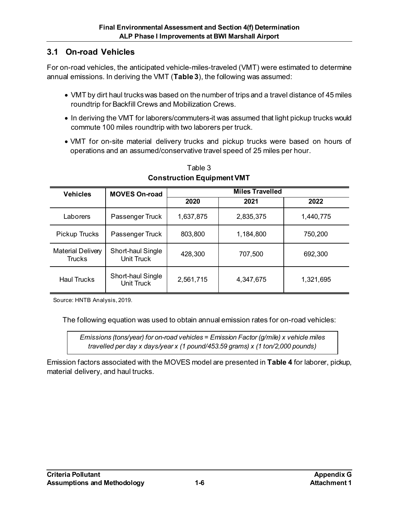# <span id="page-10-0"></span>**3.1 On-road Vehicles**

For on-road vehicles, the anticipated vehicle-miles-traveled (VMT) were estimated to determine annual emissions. In deriving the VMT (**Table 3**), the following was assumed:

- VMT by dirt haul trucks was based on the number of trips and a travel distance of 45 miles roundtrip for Backfill Crews and Mobilization Crews.
- In deriving the VMT for laborers/commuters-it was assumed that light pickup trucks would commute 100 miles roundtrip with two laborers per truck.
- VMT for on-site material delivery trucks and pickup trucks were based on hours of operations and an assumed/conservative travel speed of 25 miles per hour.

| <b>Vehicles</b>                           | <b>MOVES On-road</b>            | <b>Miles Travelled</b> |           |           |  |  |  |  |
|-------------------------------------------|---------------------------------|------------------------|-----------|-----------|--|--|--|--|
|                                           |                                 | 2020                   | 2021      | 2022      |  |  |  |  |
| Laborers                                  | Passenger Truck                 | 1,637,875              | 2,835,375 | 1,440,775 |  |  |  |  |
| Pickup Trucks                             | Passenger Truck                 | 803,800                | 1,184,800 | 750,200   |  |  |  |  |
| <b>Material Delivery</b><br><b>Trucks</b> | Short-haul Single<br>Unit Truck | 428,300                | 707,500   | 692,300   |  |  |  |  |
| <b>Haul Trucks</b>                        | Short-haul Single<br>Unit Truck | 2,561,715              | 4,347,675 | 1,321,695 |  |  |  |  |

<span id="page-10-1"></span>Table 3 **Construction Equipment VMT**

Source: HNTB Analysis, 2019.

The following equation was used to obtain annual emission rates for on-road vehicles:

*Emissions (tons/year) for on-road vehicles = Emission Factor (g/mile) x vehicle miles travelled per day x days/year x (1 pound/453.59 grams) x (1 ton/2,000 pounds)*

Emission factors associated with the MOVES model are presented in **Table 4** for laborer, pickup, material delivery, and haul trucks.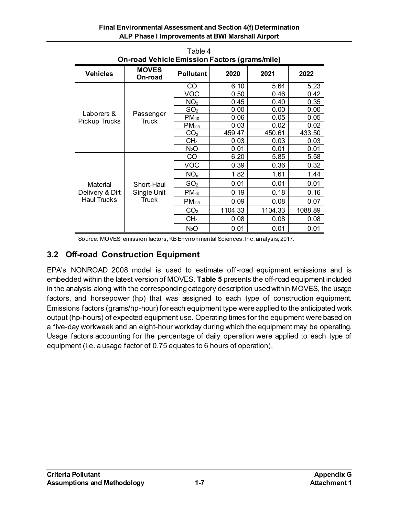### **Final Environmental Assessment and Section 4(f) Determination ALP Phase I Improvements at BWI Marshall Airport**

| <b>On-road Vehicle Emission Factors (grams/mile)</b><br><b>MOVES</b><br><b>Pollutant</b><br><b>Vehicles</b><br>2020<br>2021<br>2022<br>On-road<br>5.23<br>CO<br>6.10<br>5.64<br>VOC<br>0.50<br>0.46<br>0.42<br>NO <sub>x</sub><br>0.35<br>0.45<br>0.40<br>0.00<br>0.00<br>SO <sub>2</sub><br>0.00<br>Laborers &<br>Passenger<br>$PM_{10}$<br>0.06<br>0.05<br>0.05<br>Pickup Trucks<br>Truck |             |                   |         |         |         |  |
|---------------------------------------------------------------------------------------------------------------------------------------------------------------------------------------------------------------------------------------------------------------------------------------------------------------------------------------------------------------------------------------------|-------------|-------------------|---------|---------|---------|--|
|                                                                                                                                                                                                                                                                                                                                                                                             |             |                   |         |         |         |  |
|                                                                                                                                                                                                                                                                                                                                                                                             |             |                   |         |         |         |  |
|                                                                                                                                                                                                                                                                                                                                                                                             |             |                   |         |         |         |  |
|                                                                                                                                                                                                                                                                                                                                                                                             |             |                   |         |         |         |  |
|                                                                                                                                                                                                                                                                                                                                                                                             |             |                   |         |         |         |  |
|                                                                                                                                                                                                                                                                                                                                                                                             |             |                   |         |         |         |  |
|                                                                                                                                                                                                                                                                                                                                                                                             |             | PM <sub>2.5</sub> | 0.03    | 0.02    | 0.02    |  |
|                                                                                                                                                                                                                                                                                                                                                                                             |             | CO <sub>2</sub>   | 459.47  | 450.61  | 433.50  |  |
|                                                                                                                                                                                                                                                                                                                                                                                             |             | CH <sub>4</sub>   | 0.03    | 0.03    | 0.03    |  |
|                                                                                                                                                                                                                                                                                                                                                                                             |             | N <sub>2</sub> O  | 0.01    | 0.01    | 0.01    |  |
|                                                                                                                                                                                                                                                                                                                                                                                             | Short-Haul  | CO                | 6.20    | 5.85    | 5.58    |  |
|                                                                                                                                                                                                                                                                                                                                                                                             |             | <b>VOC</b>        | 0.39    | 0.36    | 0.32    |  |
|                                                                                                                                                                                                                                                                                                                                                                                             |             | NO <sub>x</sub>   | 1.82    | 1.61    | 1.44    |  |
| Material                                                                                                                                                                                                                                                                                                                                                                                    |             | SO <sub>2</sub>   | 0.01    | 0.01    | 0.01    |  |
| Delivery & Dirt                                                                                                                                                                                                                                                                                                                                                                             | Single Unit | $PM_{10}$         | 0.19    | 0.18    | 0.16    |  |
| <b>Haul Trucks</b>                                                                                                                                                                                                                                                                                                                                                                          | Truck       | PM <sub>2.5</sub> | 0.09    | 0.08    | 0.07    |  |
|                                                                                                                                                                                                                                                                                                                                                                                             |             | CO <sub>2</sub>   | 1104.33 | 1104.33 | 1088.89 |  |
|                                                                                                                                                                                                                                                                                                                                                                                             |             | CH <sub>4</sub>   | 0.08    | 0.08    | 0.08    |  |
|                                                                                                                                                                                                                                                                                                                                                                                             |             | N <sub>2</sub> O  | 0.01    | 0.01    | 0.01    |  |

<span id="page-11-1"></span>

| Table 4                                       |
|-----------------------------------------------|
| On-road Vehicle Emission Factors (grams/mile) |

Source: MOVES emission factors, KB Environmental Sciences, Inc. analysis, 2017.

# <span id="page-11-0"></span>**3.2 Off-road Construction Equipment**

EPA's NONROAD 2008 model is used to estimate off-road equipment emissions and is embedded within the latest version of MOVES. **Table 5** presents the off-road equipment included in the analysis along with the corresponding category description used within MOVES, the usage factors, and horsepower (hp) that was assigned to each type of construction equipment. Emissions factors (grams/hp-hour) for each equipment type were applied to the anticipated work output (hp-hours) of expected equipment use. Operating times for the equipment were based on a five-day workweek and an eight-hour workday during which the equipment may be operating. Usage factors accounting for the percentage of daily operation were applied to each type of equipment (i.e. a usage factor of 0.75 equates to 6 hours of operation).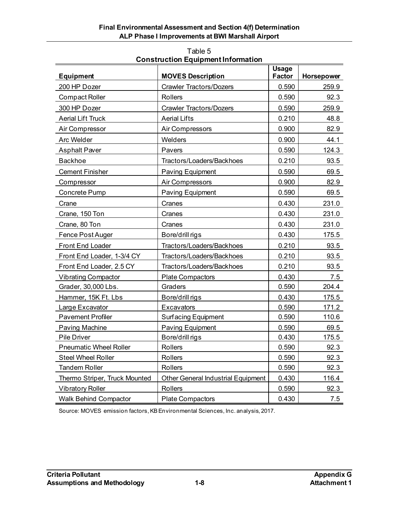### **Final Environmental Assessment and Section 4(f) Determination ALP Phase I Improvements at BWI Marshall Airport**

|                               | Construction Equipment Information        |                               |            |  |  |  |  |  |  |  |
|-------------------------------|-------------------------------------------|-------------------------------|------------|--|--|--|--|--|--|--|
| <b>Equipment</b>              | <b>MOVES Description</b>                  | <b>Usage</b><br><b>Factor</b> | Horsepower |  |  |  |  |  |  |  |
| 200 HP Dozer                  | <b>Crawler Tractors/Dozers</b>            | 0.590                         | 259.9      |  |  |  |  |  |  |  |
| <b>Compact Roller</b>         | Rollers                                   | 0.590                         | 92.3       |  |  |  |  |  |  |  |
| 300 HP Dozer                  | <b>Crawler Tractors/Dozers</b>            | 0.590                         | 259.9      |  |  |  |  |  |  |  |
| Aerial Lift Truck             | <b>Aerial Lifts</b>                       | 0.210                         | 48.8       |  |  |  |  |  |  |  |
| Air Compressor                | Air Compressors                           | 0.900                         | 82.9       |  |  |  |  |  |  |  |
| Arc Welder                    | Welders                                   | 0.900                         | 44.1       |  |  |  |  |  |  |  |
| <b>Asphalt Paver</b>          | Pavers                                    | 0.590                         | 124.3      |  |  |  |  |  |  |  |
| <b>Backhoe</b>                | Tractors/Loaders/Backhoes                 | 0.210                         | 93.5       |  |  |  |  |  |  |  |
| <b>Cement Finisher</b>        | <b>Paving Equipment</b>                   | 0.590                         | 69.5       |  |  |  |  |  |  |  |
| Compressor                    | Air Compressors                           | 0.900                         | 82.9       |  |  |  |  |  |  |  |
| Concrete Pump                 | <b>Paving Equipment</b>                   | 0.590                         | 69.5       |  |  |  |  |  |  |  |
| Crane                         | Cranes                                    | 0.430                         | 231.0      |  |  |  |  |  |  |  |
| Crane, 150 Ton                | Cranes                                    | 0.430                         | 231.0      |  |  |  |  |  |  |  |
| Crane, 80 Ton                 | Cranes                                    | 0.430                         | 231.0      |  |  |  |  |  |  |  |
| Fence Post Auger              | Bore/drill rigs                           | 0.430                         | 175.5      |  |  |  |  |  |  |  |
| Front End Loader              | Tractors/Loaders/Backhoes                 | 0.210                         | 93.5       |  |  |  |  |  |  |  |
| Front End Loader, 1-3/4 CY    | Tractors/Loaders/Backhoes                 | 0.210                         | 93.5       |  |  |  |  |  |  |  |
| Front End Loader, 2.5 CY      | Tractors/Loaders/Backhoes                 | 0.210                         | 93.5       |  |  |  |  |  |  |  |
| <b>Vibrating Compactor</b>    | Plate Compactors                          | 0.430                         | 7.5        |  |  |  |  |  |  |  |
| Grader, 30,000 Lbs.           | Graders                                   | 0.590                         | 204.4      |  |  |  |  |  |  |  |
| Hammer, 15K Ft. Lbs           | Bore/drill rigs                           | 0.430                         | 175.5      |  |  |  |  |  |  |  |
| Large Excavator               | Excavators                                | 0.590                         | 171.2      |  |  |  |  |  |  |  |
| <b>Pavement Profiler</b>      | <b>Surfacing Equipment</b>                | 0.590                         | 110.6      |  |  |  |  |  |  |  |
| Paving Machine                | <b>Paving Equipment</b>                   | 0.590                         | 69.5       |  |  |  |  |  |  |  |
| <b>Pile Driver</b>            | Bore/drill rigs                           | 0.430                         | 175.5      |  |  |  |  |  |  |  |
| <b>Pneumatic Wheel Roller</b> | Rollers                                   | 0.590                         | 92.3       |  |  |  |  |  |  |  |
| <b>Steel Wheel Roller</b>     | Rollers                                   | 0.590                         | 92.3       |  |  |  |  |  |  |  |
| <b>Tandem Roller</b>          | Rollers                                   | 0.590                         | 92.3       |  |  |  |  |  |  |  |
| Thermo Striper, Truck Mounted | <b>Other General Industrial Equipment</b> | 0.430                         | 116.4      |  |  |  |  |  |  |  |
| <b>Vibratory Roller</b>       | Rollers                                   | 0.590                         | 92.3       |  |  |  |  |  |  |  |
| <b>Walk Behind Compactor</b>  | <b>Plate Compactors</b>                   | 0.430                         | 7.5        |  |  |  |  |  |  |  |

<span id="page-12-0"></span>Table 5 **Construction Equipment Information**

Source: MOVES emission factors, KB Environmental Sciences, Inc. analysis, 2017.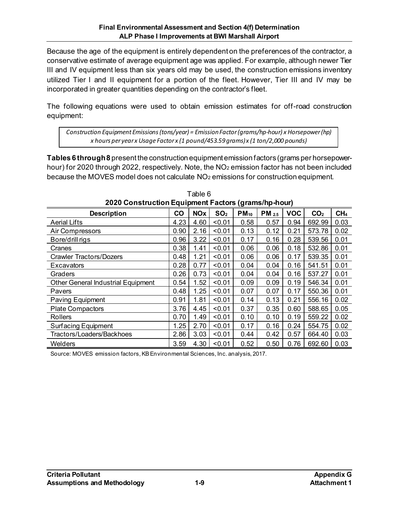Because the age of the equipment is entirely dependent on the preferences of the contractor, a conservative estimate of average equipment age was applied. For example, although newer Tier III and IV equipment less than six years old may be used, the construction emissions inventory utilized Tier I and II equipment for a portion of the fleet. However, Tier III and IV may be incorporated in greater quantities depending on the contractor's fleet.

The following equations were used to obtain emission estimates for off-road construction equipment:

*Construction Equipment Emissions (tons/year) = Emission Factor (grams/hp-hour) x Horsepower (hp) x hours per year x Usage Factor x (1 pound/453.59 grams) x (1 ton/2,000 pounds)*

**Tables 6 through8** present the construction equipment emission factors (grams per horsepowerhour) for 2020 through 2022, respectively. Note, the NO<sub>2</sub> emission factor has not been included because the MOVES model does not calculate NO2 emissions for construction equipment.

| 2020 Construction Equipment Factors (grams/hp-hour) |      |            |                 |           |        |            |                 |                 |  |
|-----------------------------------------------------|------|------------|-----------------|-----------|--------|------------|-----------------|-----------------|--|
| <b>Description</b>                                  | CO   | <b>NOx</b> | SO <sub>2</sub> | $PM_{10}$ | PM 2.5 | <b>VOC</b> | CO <sub>2</sub> | CH <sub>4</sub> |  |
| <b>Aerial Lifts</b>                                 | 4.23 | 4.60       | < 0.01          | 0.58      | 0.57   | 0.94       | 692.99          | 0.03            |  |
| Air Compressors                                     | 0.90 | 2.16       | < 0.01          | 0.13      | 0.12   | 0.21       | 573.78          | 0.02            |  |
| Bore/drill rigs                                     | 0.96 | 3.22       | < 0.01          | 0.17      | 0.16   | 0.28       | 539.56          | 0.01            |  |
| Cranes                                              | 0.38 | 1.41       | < 0.01          | 0.06      | 0.06   | 0.18       | 532.86          | 0.01            |  |
| <b>Crawler Tractors/Dozers</b>                      | 0.48 | 1.21       | < 0.01          | 0.06      | 0.06   | 0.17       | 539.35          | 0.01            |  |
| Excavators                                          | 0.28 | 0.77       | < 0.01          | 0.04      | 0.04   | 0.16       | 541.51          | 0.01            |  |
| Graders                                             | 0.26 | 0.73       | < 0.01          | 0.04      | 0.04   | 0.16       | 537.27          | 0.01            |  |
| Other General Industrial Equipment                  | 0.54 | 1.52       | < 0.01          | 0.09      | 0.09   | 0.19       | 546.34          | 0.01            |  |
| Pavers                                              | 0.48 | 1.25       | < 0.01          | 0.07      | 0.07   | 0.17       | 550.36          | 0.01            |  |
| Paving Equipment                                    | 0.91 | 1.81       | < 0.01          | 0.14      | 0.13   | 0.21       | 556.16          | 0.02            |  |
| <b>Plate Compactors</b>                             | 3.76 | 4.45       | < 0.01          | 0.37      | 0.35   | 0.60       | 588.65          | 0.05            |  |
| Rollers                                             | 0.70 | 1.49       | < 0.01          | 0.10      | 0.10   | 0.19       | 559.22          | 0.02            |  |
| <b>Surfacing Equipment</b>                          | 1.25 | 2.70       | < 0.01          | 0.17      | 0.16   | 0.24       | 554.75          | 0.02            |  |
| Tractors/Loaders/Backhoes                           | 2.86 | 3.03       | < 0.01          | 0.44      | 0.42   | 0.57       | 664.40          | 0.03            |  |
| Welders                                             | 3.59 | 4.30       | < 0.01          | 0.52      | 0.50   | 0.76       | 692.60          | 0.03            |  |

<span id="page-13-0"></span>

| Table 6                                             |
|-----------------------------------------------------|
| 2020 Construction Equipment Factors (grams/hp-hour) |

Source: MOVES emission factors, KB Environmental Sciences, Inc. analysis, 2017.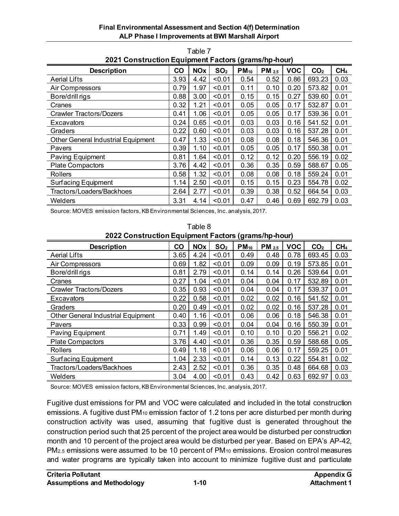### **Final Environmental Assessment and Section 4(f) Determination ALP Phase I Improvements at BWI Marshall Airport**

| 2021 Construction Equipment Factors (grams/hp-hour) |      |            |                 |           |               |            |                 |                 |  |
|-----------------------------------------------------|------|------------|-----------------|-----------|---------------|------------|-----------------|-----------------|--|
| <b>Description</b>                                  | CO   | <b>NOx</b> | SO <sub>2</sub> | $PM_{10}$ | <b>PM</b> 2.5 | <b>VOC</b> | CO <sub>2</sub> | CH <sub>4</sub> |  |
| <b>Aerial Lifts</b>                                 | 3.93 | 4.42       | < 0.01          | 0.54      | 0.52          | 0.86       | 693.23          | 0.03            |  |
| Air Compressors                                     | 0.79 | 1.97       | < 0.01          | 0.11      | 0.10          | 0.20       | 573.82          | 0.01            |  |
| Bore/drill rigs                                     | 0.88 | 3.00       | < 0.01          | 0.15      | 0.15          | 0.27       | 539.60          | 0.01            |  |
| Cranes                                              | 0.32 | 1.21       | < 0.01          | 0.05      | 0.05          | 0.17       | 532.87          | 0.01            |  |
| <b>Crawler Tractors/Dozers</b>                      | 0.41 | 1.06       | < 0.01          | 0.05      | 0.05          | 0.17       | 539.36          | 0.01            |  |
| Excavators                                          | 0.24 | 0.65       | < 0.01          | 0.03      | 0.03          | 0.16       | 541.52          | 0.01            |  |
| Graders                                             | 0.22 | 0.60       | < 0.01          | 0.03      | 0.03          | 0.16       | 537.28          | 0.01            |  |
| <b>Other General Industrial Equipment</b>           | 0.47 | 1.33       | < 0.01          | 0.08      | 0.08          | 0.18       | 546.36          | 0.01            |  |
| Pavers                                              | 0.39 | 1.10       | < 0.01          | 0.05      | 0.05          | 0.17       | 550.38          | 0.01            |  |
| <b>Paving Equipment</b>                             | 0.81 | 1.64       | < 0.01          | 0.12      | 0.12          | 0.20       | 556.19          | 0.02            |  |
| <b>Plate Compactors</b>                             | 3.76 | 4.42       | < 0.01          | 0.36      | 0.35          | 0.59       | 588.67          | 0.05            |  |
| Rollers                                             | 0.58 | 1.32       | < 0.01          | 0.08      | 0.08          | 0.18       | 559.24          | 0.01            |  |
| <b>Surfacing Equipment</b>                          | 1.14 | 2.50       | < 0.01          | 0.15      | 0.15          | 0.23       | 554.78          | 0.02            |  |
| Tractors/Loaders/Backhoes                           | 2.64 | 2.77       | < 0.01          | 0.39      | 0.38          | 0.52       | 664.54          | 0.03            |  |
| Welders                                             | 3.31 | 4.14       | < 0.01          | 0.47      | 0.46          | 0.69       | 692.79          | 0.03            |  |

# <span id="page-14-0"></span>Table 7

Source: MOVES emission factors, KB Environmental Sciences, Inc. analysis, 2017.

| 2022 Construction Equipment Factors (grams/hp-hour) |      |            |                 |           |               |            |                 |                 |
|-----------------------------------------------------|------|------------|-----------------|-----------|---------------|------------|-----------------|-----------------|
| <b>Description</b>                                  | CO   | <b>NOx</b> | SO <sub>2</sub> | $PM_{10}$ | <b>PM</b> 2.5 | <b>VOC</b> | CO <sub>2</sub> | CH <sub>4</sub> |
| <b>Aerial Lifts</b>                                 | 3.65 | 4.24       | < 0.01          | 0.49      | 0.48          | 0.78       | 693.45          | 0.03            |
| Air Compressors                                     | 0.69 | 1.82       | < 0.01          | 0.09      | 0.09          | 0.19       | 573.85          | 0.01            |
| Bore/drill rigs                                     | 0.81 | 2.79       | < 0.01          | 0.14      | 0.14          | 0.26       | 539.64          | 0.01            |
| Cranes                                              | 0.27 | 1.04       | < 0.01          | 0.04      | 0.04          | 0.17       | 532.89          | 0.01            |
| <b>Crawler Tractors/Dozers</b>                      | 0.35 | 0.93       | < 0.01          | 0.04      | 0.04          | 0.17       | 539.37          | 0.01            |
| Excavators                                          | 0.22 | 0.58       | < 0.01          | 0.02      | 0.02          | 0.16       | 541.52          | 0.01            |
| Graders                                             | 0.20 | 0.49       | < 0.01          | 0.02      | 0.02          | 0.16       | 537.28          | 0.01            |
| Other General Industrial Equipment                  | 0.40 | 1.16       | < 0.01          | 0.06      | 0.06          | 0.18       | 546.38          | 0.01            |
| Pavers                                              | 0.33 | 0.99       | < 0.01          | 0.04      | 0.04          | 0.16       | 550.39          | 0.01            |
| <b>Paving Equipment</b>                             | 0.71 | 1.49       | < 0.01          | 0.10      | 0.10          | 0.20       | 556.21          | 0.02            |
| <b>Plate Compactors</b>                             | 3.76 | 4.40       | < 0.01          | 0.36      | 0.35          | 0.59       | 588.68          | 0.05            |
| <b>Rollers</b>                                      | 0.49 | 1.18       | < 0.01          | 0.06      | 0.06          | 0.17       | 559.25          | 0.01            |
| <b>Surfacing Equipment</b>                          | 1.04 | 2.33       | < 0.01          | 0.14      | 0.13          | 0.22       | 554.81          | 0.02            |
| Tractors/Loaders/Backhoes                           | 2.43 | 2.52       | < 0.01          | 0.36      | 0.35          | 0.48       | 664.68          | 0.03            |
| Welders                                             | 3.04 | 4.00       | < 0.01          | 0.43      | 0.42          | 0.63       | 692.97          | 0.03            |

<span id="page-14-1"></span>Table 8

Source: MOVES emission factors, KB Environmental Sciences, Inc. analysis, 2017.

Fugitive dust emissions for PM and VOC were calculated and included in the total construction emissions. A fugitive dust PM10 emission factor of 1.2 tons per acre disturbed per month during construction activity was used, assuming that fugitive dust is generated throughout the construction period such that 25 percent of the project area would be disturbed per construction month and 10 percent of the project area would be disturbed per year. Based on EPA's AP-42, PM<sub>2.5</sub> emissions were assumed to be 10 percent of PM<sub>10</sub> emissions. Erosion control measures and water programs are typically taken into account to minimize fugitive dust and particulate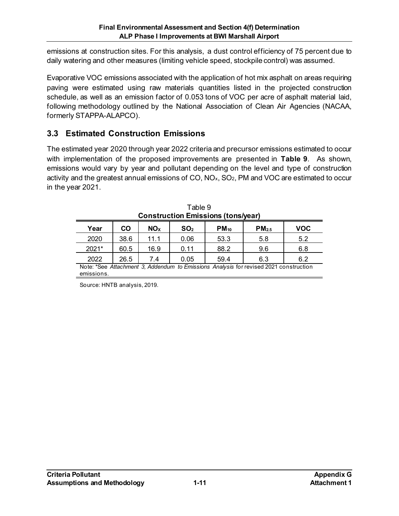emissions at construction sites. For this analysis, a dust control efficiency of 75 percent due to daily watering and other measures (limiting vehicle speed, stockpile control) was assumed.

Evaporative VOC emissions associated with the application of hot mix asphalt on areas requiring paving were estimated using raw materials quantities listed in the projected construction schedule, as well as an emission factor of 0.053 tons of VOC per acre of asphalt material laid, following methodology outlined by the National Association of Clean Air Agencies (NACAA, formerly STAPPA-ALAPCO).

# <span id="page-15-0"></span>**3.3 Estimated Construction Emissions**

The estimated year 2020 through year 2022 criteria and precursor emissions estimated to occur with implementation of the proposed improvements are presented in **Table 9**. As shown, emissions would vary by year and pollutant depending on the level and type of construction activity and the greatest annual emissions of  $CO$ ,  $NO<sub>x</sub>$ ,  $SO<sub>2</sub>$ , PM and VOC are estimated to occur in the year 2021.

| <b>Construction Emissions (tons/year)</b>                                                           |      |                 |                 |           |                   |     |  |
|-----------------------------------------------------------------------------------------------------|------|-----------------|-----------------|-----------|-------------------|-----|--|
| Year                                                                                                | CO.  | NO <sub>x</sub> | SO <sub>2</sub> | $PM_{10}$ | PM <sub>2.5</sub> | VOC |  |
| 2020                                                                                                | 38.6 | 11.1            | 0.06            | 53.3      | 5.8               | 5.2 |  |
| 2021*                                                                                               | 60.5 | 16.9            | 0.11            | 88.2      | 9.6               | 6.8 |  |
| 2022                                                                                                | 26.5 | 7.4             | 0.05            | 59.4      | 6.3               | 6.2 |  |
| Note: *See Attachment 3, Addendum to Emissions Analysis for revised 2021 construction<br>emissions. |      |                 |                 |           |                   |     |  |

<span id="page-15-1"></span>Table 9

Source: HNTB analysis, 2019.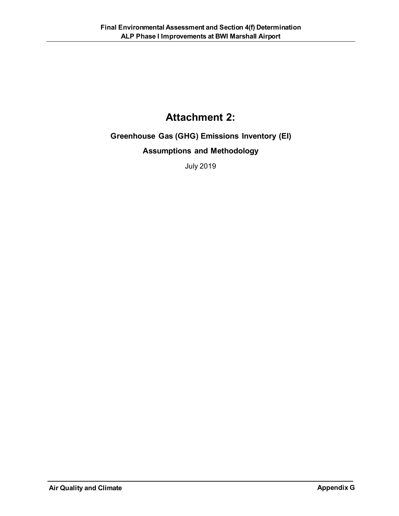# **Attachment 2:**

## **Greenhouse Gas (GHG) Emissions Inventory (EI)**

## **Assumptions and Methodology**

July 2019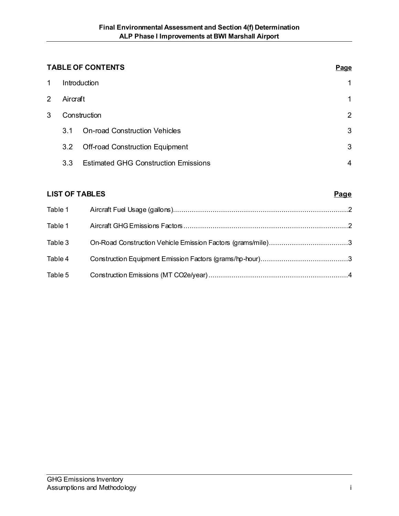### **TABLE OF CONTENTS Page**

| 1 |          | Introduction                                | 1 |
|---|----------|---------------------------------------------|---|
| 2 | Aircraft |                                             | 1 |
| 3 |          | Construction                                | 2 |
|   | 3.1      | <b>On-road Construction Vehicles</b>        | 3 |
|   | 3.2      | <b>Off-road Construction Equipment</b>      | 3 |
|   | 3.3      | <b>Estimated GHG Construction Emissions</b> | 4 |

### **LIST OF TABLES Page**

| Table 1 |  |
|---------|--|
| Table 1 |  |
| Table 3 |  |
| Table 4 |  |
| Table 5 |  |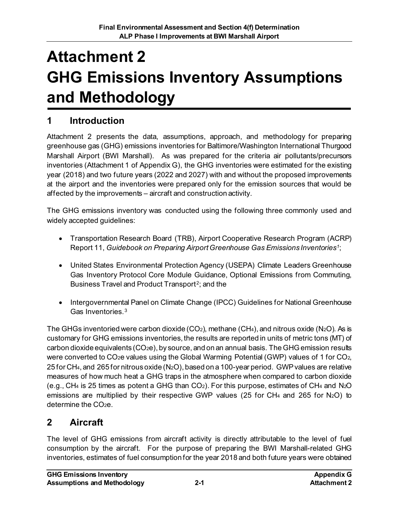# **Attachment 2 GHG Emissions Inventory Assumptions and Methodology**

# <span id="page-18-0"></span>**1 Introduction**

Attachment 2 presents the data, assumptions, approach, and methodology for preparing greenhouse gas (GHG) emissions inventories for Baltimore/Washington International Thurgood Marshall Airport (BWI Marshall). As was prepared for the criteria air pollutants/precursors inventories (Attachment 1 of Appendix G), the GHG inventories were estimated for the existing year (2018) and two future years (2022 and 2027) with and without the proposed improvements at the airport and the inventories were prepared only for the emission sources that would be affected by the improvements – aircraft and construction activity.

The GHG emissions inventory was conducted using the following three commonly used and widely accepted guidelines:

- Transportation Research Board (TRB), Airport Cooperative Research Program (ACRP) Report 11, *Guidebook on Preparing Airport Greenhouse Gas Emissions Inventories[1](#page-22-0)*;
- United States Environmental Protection Agency (USEPA) Climate Leaders Greenhouse Gas Inventory Protocol Core Module Guidance, Optional Emissions from Commuting, Business Travel and Product Transport<sup>2</sup>; and the
- Intergovernmental Panel on Climate Change (IPCC) Guidelines for National Greenhouse Gas Inventories.[3](#page-22-2)

The GHGs inventoried were carbon dioxide ( $CO<sub>2</sub>$ ), methane (CH<sub>4</sub>), and nitrous oxide (N<sub>2</sub>O). As is customary for GHG emissions inventories, the results are reported in units of metric tons (MT) of carbon dioxide equivalents (CO2e), by source, and on an annual basis. The GHG emission results were converted to CO<sub>2</sub>e values using the Global Warming Potential (GWP) values of 1 for CO<sub>2</sub>, 25 for CH4, and 265 for nitrous oxide (N2O), based on a 100-year period. GWP values are relative measures of how much heat a GHG traps in the atmosphere when compared to carbon dioxide (e.g., CH<sub>4</sub> is 25 times as potent a GHG than CO<sub>2</sub>). For this purpose, estimates of CH<sub>4</sub> and N<sub>2</sub>O emissions are multiplied by their respective GWP values (25 for CH4 and 265 for N2O) to determine the CO<sub>2</sub>e.

# <span id="page-18-1"></span>**2 Aircraft**

The level of GHG emissions from aircraft activity is directly attributable to the level of fuel consumption by the aircraft. For the purpose of preparing the BWI Marshall-related GHG inventories, estimates of fuel consumption for the year 2018 and both future years were obtained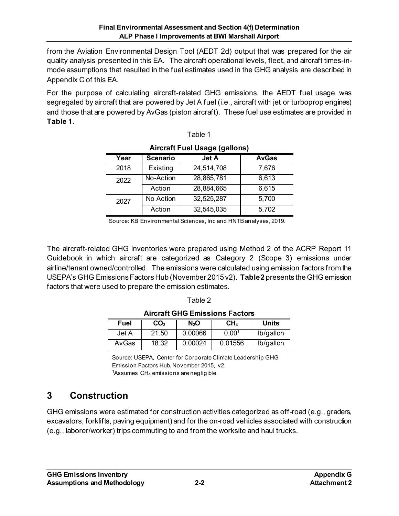from the Aviation Environmental Design Tool (AEDT 2d) output that was prepared for the air quality analysis presented in this EA. The aircraft operational levels, fleet, and aircraft times-inmode assumptions that resulted in the fuel estimates used in the GHG analysis are described in Appendix C of this EA.

For the purpose of calculating aircraft-related GHG emissions, the AEDT fuel usage was segregated by aircraft that are powered by Jet A fuel (i.e., aircraft with jet or turboprop engines) and those that are powered by AvGas (piston aircraft). These fuel use estimates are provided in **Table 1**.

| Aircraft Fuel Usage (gallons) |                 |              |              |  |  |  |  |
|-------------------------------|-----------------|--------------|--------------|--|--|--|--|
| Year                          | <b>Scenario</b> | <b>Jet A</b> | <b>AvGas</b> |  |  |  |  |
| 2018                          | Existing        | 24,514,708   | 7,676        |  |  |  |  |
| 2022                          | No-Action       | 28,865,781   | 6,613        |  |  |  |  |
|                               | Action          | 28,884,665   | 6,615        |  |  |  |  |
| 2027                          | No Action       | 32,525,287   | 5,700        |  |  |  |  |
|                               | Action          | 32,545,035   | 5,702        |  |  |  |  |

<span id="page-19-1"></span>

| Table 1                              |  |
|--------------------------------------|--|
| <b>Aircraft Fuel Usage (gallons)</b> |  |

Source: KB Environmental Sciences, Inc and HNTB analyses, 2019.

The aircraft-related GHG inventories were prepared using Method 2 of the ACRP Report 11 Guidebook in which aircraft are categorized as Category 2 (Scope 3) emissions under airline/tenant owned/controlled. The emissions were calculated using emission factors from the USEPA's GHG Emissions Factors Hub (November 2015 v2). **Table 2** presents the GHG emission factors that were used to prepare the emission estimates.

<span id="page-19-2"></span>

| abie |  |
|------|--|
|------|--|

| Aircraft Grig Emissions Factors |                 |                  |                   |              |  |  |  |
|---------------------------------|-----------------|------------------|-------------------|--------------|--|--|--|
| <b>Fuel</b>                     | CO <sub>2</sub> | N <sub>2</sub> O | CH <sub>4</sub>   | <b>Units</b> |  |  |  |
| Jet A                           | 21.50           | 0.00066          | 0.00 <sup>1</sup> | lb/gallon    |  |  |  |
| AvGas                           | 18.32           | 0.00024          | 0.01556           | lb/gallon    |  |  |  |

**Aircraft GHG Emissions Factors**

Source: USEPA, Center for Corporate Climate Leadership GHG Emission Factors Hub, November 2015, v2. 1 Assumes CH4 emissions are negligible.

# <span id="page-19-0"></span>**3 Construction**

GHG emissions were estimated for construction activities categorized as off-road (e.g., graders, excavators, forklifts, paving equipment) and for the on-road vehicles associated with construction (e.g., laborer/worker) trips commuting to and from the worksite and haul trucks.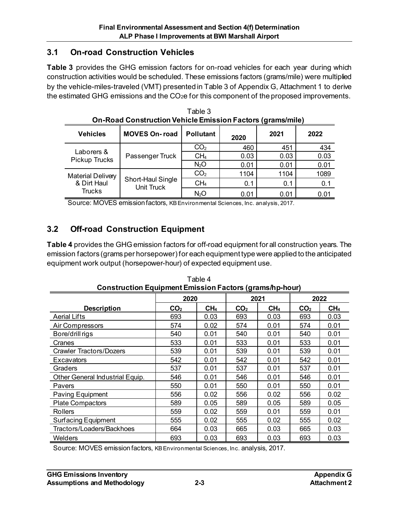# <span id="page-20-0"></span>**3.1 On-road Construction Vehicles**

**Table 3** provides the GHG emission factors for on-road vehicles for each year during which construction activities would be scheduled. These emissions factors (grams/mile) were multiplied by the vehicle-miles-traveled (VMT) presented in Table 3 of Appendix G, Attachment 1 to derive the estimated GHG emissions and the CO<sub>2</sub>e for this component of the proposed improvements.

| On-Road Construction vehicle Emission Factors (grams/mile) |                                        |                  |      |      |      |  |  |  |
|------------------------------------------------------------|----------------------------------------|------------------|------|------|------|--|--|--|
| <b>Vehicles</b>                                            | <b>MOVES On-road</b>                   | <b>Pollutant</b> | 2020 | 2021 | 2022 |  |  |  |
|                                                            |                                        | CO <sub>2</sub>  | 460  | 451  | 434  |  |  |  |
| Laborers &<br>Pickup Trucks                                | Passenger Truck                        | CH <sub>4</sub>  | 0.03 | 0.03 | 0.03 |  |  |  |
|                                                            |                                        | N <sub>2</sub> O | 0.01 | 0.01 | 0.01 |  |  |  |
| <b>Material Delivery</b><br>& Dirt Haul                    |                                        | CO <sub>2</sub>  | 1104 | 1104 | 1089 |  |  |  |
|                                                            | Short-Haul Single<br><b>Unit Truck</b> | CH <sub>4</sub>  | 0.1  | 0.1  | 0.1  |  |  |  |
| <b>Trucks</b>                                              |                                        | N <sub>2</sub> O | 0.01 | 0.01 | 0.01 |  |  |  |

<span id="page-20-2"></span>

| Table 3                                                    |  |
|------------------------------------------------------------|--|
| On-Road Construction Vehicle Emission Factors (grams/mile) |  |

Source: MOVES emission factors, KB Environmental Sciences, Inc. analysis, 2017.

# <span id="page-20-1"></span>**3.2 Off-road Construction Equipment**

**Table 4** provides the GHG emission factors for off-road equipment for all construction years. The emission factors (grams per horsepower) for each equipment type were applied to the anticipated equipment work output (horsepower-hour) of expected equipment use.

| Construction Equipment Emission Factors (grams/np-nour) |                 |                 |                 |                 |                 |                 |  |  |
|---------------------------------------------------------|-----------------|-----------------|-----------------|-----------------|-----------------|-----------------|--|--|
|                                                         | 2020            |                 |                 | 2021            | 2022            |                 |  |  |
| <b>Description</b>                                      | CO <sub>2</sub> | CH <sub>4</sub> | CO <sub>2</sub> | CH <sub>4</sub> | CO <sub>2</sub> | CH <sub>4</sub> |  |  |
| <b>Aerial Lifts</b>                                     | 693             | 0.03            | 693             | 0.03            | 693             | 0.03            |  |  |
| Air Compressors                                         | 574             | 0.02            | 574             | 0.01            | 574             | 0.01            |  |  |
| Bore/drill rigs                                         | 540             | 0.01            | 540             | 0.01            | 540             | 0.01            |  |  |
| Cranes                                                  | 533             | 0.01            | 533             | 0.01            | 533             | 0.01            |  |  |
| <b>Crawler Tractors/Dozers</b>                          | 539             | 0.01            | 539             | 0.01            | 539             | 0.01            |  |  |
| Excavators                                              | 542             | 0.01            | 542             | 0.01            | 542             | 0.01            |  |  |
| Graders                                                 | 537             | 0.01            | 537             | 0.01            | 537             | 0.01            |  |  |
| Other General Industrial Equip.                         | 546             | 0.01            | 546             | 0.01            | 546             | 0.01            |  |  |
| Pavers                                                  | 550             | 0.01            | 550             | 0.01            | 550             | 0.01            |  |  |
| Paving Equipment                                        | 556             | 0.02            | 556             | 0.02            | 556             | 0.02            |  |  |
| <b>Plate Compactors</b>                                 | 589             | 0.05            | 589             | 0.05            | 589             | 0.05            |  |  |
| Rollers                                                 | 559             | 0.02            | 559             | 0.01            | 559             | 0.01            |  |  |
| <b>Surfacing Equipment</b>                              | 555             | 0.02            | 555             | 0.02            | 555             | 0.02            |  |  |
| Tractors/Loaders/Backhoes                               | 664             | 0.03            | 665             | 0.03            | 665             | 0.03            |  |  |
| Welders                                                 | 693             | 0.03            | 693             | 0.03            | 693             | 0.03            |  |  |

<span id="page-20-3"></span>Table 4 **Construction Equipment Emission Factors (grams/hp-hour)**

Source: MOVES emission factors, KB Environmental Sciences, Inc. analysis, 2017.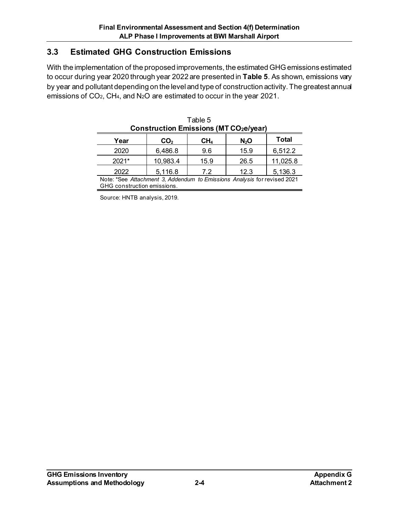# <span id="page-21-0"></span>**3.3 Estimated GHG Construction Emissions**

With the implementation of the proposed improvements, the estimated GHG emissions estimated to occur during year 2020 through year 2022 are presented in **Table 5**. As shown, emissions vary by year and pollutant depending on the level and type of construction activity. The greatest annual emissions of CO2, CH4, and N2O are estimated to occur in the year 2021.

| <b>Construction Emissions (MT CO<sub>2</sub>e/year)</b>                  |          |      |      |          |  |  |  |  |  |
|--------------------------------------------------------------------------|----------|------|------|----------|--|--|--|--|--|
| <b>Total</b><br>CH <sub>4</sub><br>$N_2$ O<br>Year<br>CO <sub>2</sub>    |          |      |      |          |  |  |  |  |  |
| 2020                                                                     | 6,486.8  | 9.6  | 15.9 | 6,512.2  |  |  |  |  |  |
| $2021*$                                                                  | 10,983.4 | 15.9 | 26.5 | 11,025.8 |  |  |  |  |  |
| 2022                                                                     | 5,116.8  | 7.2  | 12.3 | 5,136.3  |  |  |  |  |  |
| Note: *Cas, Attachment 2, Addendum to Emissions, Anglusia formulaed 2024 |          |      |      |          |  |  |  |  |  |

<span id="page-21-1"></span>

| Table 5                                                 |  |
|---------------------------------------------------------|--|
| <b>Construction Emissions (MT CO<sub>2</sub>e/year)</b> |  |

Note: \*See *Attachment 3, Addendum to Emissions Analysis* for revised 2021 GHG construction emissions.

Source: HNTB analysis, 2019.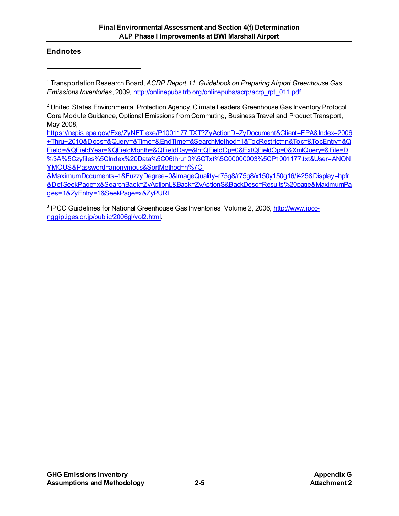### **Endnotes**

<span id="page-22-0"></span><sup>1</sup> Transportation Research Board, *ACRP Report 11, Guidebook on Preparing Airport Greenhouse Gas Emissions Inventories*, 2009[, http://onlinepubs.trb.org/onlinepubs/acrp/acrp\\_rpt\\_011.pdf.](http://onlinepubs.trb.org/onlinepubs/acrp/acrp_rpt_011.pdf)

<span id="page-22-1"></span><sup>2</sup> United States Environmental Protection Agency, Climate Leaders Greenhouse Gas Inventory Protocol Core Module Guidance, Optional Emissions from Commuting, Business Travel and Product Transport, May 2008,

[https://nepis.epa.gov/Exe/ZyNET.exe/P1001177.TXT?ZyActionD=ZyDocument&Client=EPA&Index=2006](https://nepis.epa.gov/Exe/ZyNET.exe/P1001177.TXT?ZyActionD=ZyDocument&Client=EPA&Index=2006+Thru+2010&Docs=&Query=&Time=&EndTime=&SearchMethod=1&TocRestrict=n&Toc=&TocEntry=&QField=&QFieldYear=&QFieldMonth=&QFieldDay=&IntQFieldOp=0&ExtQFieldOp=0&XmlQuery=&File=D%3A%5Czyfiles%5CIndex%20Data%5C06thru10%5CTxt%5C00000003%5CP1001177.txt&User=ANONYMOUS&Password=anonymous&SortMethod=h%7C-&MaximumDocuments=1&FuzzyDegree=0&ImageQuality=r75g8/r75g8/x150y150g16/i425&Display=hpfr&DefSeekPage=x&SearchBack=ZyActionL&Back=ZyActionS&BackDesc=Results%20page&MaximumPages=1&ZyEntry=1&SeekPage=x&ZyPURL) [+Thru+2010&Docs=&Query=&Time=&EndTime=&SearchMethod=1&TocRestrict=n&Toc=&TocEntry=&Q](https://nepis.epa.gov/Exe/ZyNET.exe/P1001177.TXT?ZyActionD=ZyDocument&Client=EPA&Index=2006+Thru+2010&Docs=&Query=&Time=&EndTime=&SearchMethod=1&TocRestrict=n&Toc=&TocEntry=&QField=&QFieldYear=&QFieldMonth=&QFieldDay=&IntQFieldOp=0&ExtQFieldOp=0&XmlQuery=&File=D%3A%5Czyfiles%5CIndex%20Data%5C06thru10%5CTxt%5C00000003%5CP1001177.txt&User=ANONYMOUS&Password=anonymous&SortMethod=h%7C-&MaximumDocuments=1&FuzzyDegree=0&ImageQuality=r75g8/r75g8/x150y150g16/i425&Display=hpfr&DefSeekPage=x&SearchBack=ZyActionL&Back=ZyActionS&BackDesc=Results%20page&MaximumPages=1&ZyEntry=1&SeekPage=x&ZyPURL) [Field=&QFieldYear=&QFieldMonth=&QFieldDay=&IntQFieldOp=0&ExtQFieldOp=0&XmlQuery=&File=D](https://nepis.epa.gov/Exe/ZyNET.exe/P1001177.TXT?ZyActionD=ZyDocument&Client=EPA&Index=2006+Thru+2010&Docs=&Query=&Time=&EndTime=&SearchMethod=1&TocRestrict=n&Toc=&TocEntry=&QField=&QFieldYear=&QFieldMonth=&QFieldDay=&IntQFieldOp=0&ExtQFieldOp=0&XmlQuery=&File=D%3A%5Czyfiles%5CIndex%20Data%5C06thru10%5CTxt%5C00000003%5CP1001177.txt&User=ANONYMOUS&Password=anonymous&SortMethod=h%7C-&MaximumDocuments=1&FuzzyDegree=0&ImageQuality=r75g8/r75g8/x150y150g16/i425&Display=hpfr&DefSeekPage=x&SearchBack=ZyActionL&Back=ZyActionS&BackDesc=Results%20page&MaximumPages=1&ZyEntry=1&SeekPage=x&ZyPURL) [%3A%5Czyfiles%5CIndex%20Data%5C06thru10%5CTxt%5C00000003%5CP1001177.txt&User=ANON](https://nepis.epa.gov/Exe/ZyNET.exe/P1001177.TXT?ZyActionD=ZyDocument&Client=EPA&Index=2006+Thru+2010&Docs=&Query=&Time=&EndTime=&SearchMethod=1&TocRestrict=n&Toc=&TocEntry=&QField=&QFieldYear=&QFieldMonth=&QFieldDay=&IntQFieldOp=0&ExtQFieldOp=0&XmlQuery=&File=D%3A%5Czyfiles%5CIndex%20Data%5C06thru10%5CTxt%5C00000003%5CP1001177.txt&User=ANONYMOUS&Password=anonymous&SortMethod=h%7C-&MaximumDocuments=1&FuzzyDegree=0&ImageQuality=r75g8/r75g8/x150y150g16/i425&Display=hpfr&DefSeekPage=x&SearchBack=ZyActionL&Back=ZyActionS&BackDesc=Results%20page&MaximumPages=1&ZyEntry=1&SeekPage=x&ZyPURL) [YMOUS&Password=anonymous&SortMethod=h%7C-](https://nepis.epa.gov/Exe/ZyNET.exe/P1001177.TXT?ZyActionD=ZyDocument&Client=EPA&Index=2006+Thru+2010&Docs=&Query=&Time=&EndTime=&SearchMethod=1&TocRestrict=n&Toc=&TocEntry=&QField=&QFieldYear=&QFieldMonth=&QFieldDay=&IntQFieldOp=0&ExtQFieldOp=0&XmlQuery=&File=D%3A%5Czyfiles%5CIndex%20Data%5C06thru10%5CTxt%5C00000003%5CP1001177.txt&User=ANONYMOUS&Password=anonymous&SortMethod=h%7C-&MaximumDocuments=1&FuzzyDegree=0&ImageQuality=r75g8/r75g8/x150y150g16/i425&Display=hpfr&DefSeekPage=x&SearchBack=ZyActionL&Back=ZyActionS&BackDesc=Results%20page&MaximumPages=1&ZyEntry=1&SeekPage=x&ZyPURL)

[&MaximumDocuments=1&FuzzyDegree=0&ImageQuality=r75g8/r75g8/x150y150g16/i425&Display=hpfr](https://nepis.epa.gov/Exe/ZyNET.exe/P1001177.TXT?ZyActionD=ZyDocument&Client=EPA&Index=2006+Thru+2010&Docs=&Query=&Time=&EndTime=&SearchMethod=1&TocRestrict=n&Toc=&TocEntry=&QField=&QFieldYear=&QFieldMonth=&QFieldDay=&IntQFieldOp=0&ExtQFieldOp=0&XmlQuery=&File=D%3A%5Czyfiles%5CIndex%20Data%5C06thru10%5CTxt%5C00000003%5CP1001177.txt&User=ANONYMOUS&Password=anonymous&SortMethod=h%7C-&MaximumDocuments=1&FuzzyDegree=0&ImageQuality=r75g8/r75g8/x150y150g16/i425&Display=hpfr&DefSeekPage=x&SearchBack=ZyActionL&Back=ZyActionS&BackDesc=Results%20page&MaximumPages=1&ZyEntry=1&SeekPage=x&ZyPURL) [&DefSeekPage=x&SearchBack=ZyActionL&Back=ZyActionS&BackDesc=Results%20page&MaximumPa](https://nepis.epa.gov/Exe/ZyNET.exe/P1001177.TXT?ZyActionD=ZyDocument&Client=EPA&Index=2006+Thru+2010&Docs=&Query=&Time=&EndTime=&SearchMethod=1&TocRestrict=n&Toc=&TocEntry=&QField=&QFieldYear=&QFieldMonth=&QFieldDay=&IntQFieldOp=0&ExtQFieldOp=0&XmlQuery=&File=D%3A%5Czyfiles%5CIndex%20Data%5C06thru10%5CTxt%5C00000003%5CP1001177.txt&User=ANONYMOUS&Password=anonymous&SortMethod=h%7C-&MaximumDocuments=1&FuzzyDegree=0&ImageQuality=r75g8/r75g8/x150y150g16/i425&Display=hpfr&DefSeekPage=x&SearchBack=ZyActionL&Back=ZyActionS&BackDesc=Results%20page&MaximumPages=1&ZyEntry=1&SeekPage=x&ZyPURL) [ges=1&ZyEntry=1&SeekPage=x&ZyPURL](https://nepis.epa.gov/Exe/ZyNET.exe/P1001177.TXT?ZyActionD=ZyDocument&Client=EPA&Index=2006+Thru+2010&Docs=&Query=&Time=&EndTime=&SearchMethod=1&TocRestrict=n&Toc=&TocEntry=&QField=&QFieldYear=&QFieldMonth=&QFieldDay=&IntQFieldOp=0&ExtQFieldOp=0&XmlQuery=&File=D%3A%5Czyfiles%5CIndex%20Data%5C06thru10%5CTxt%5C00000003%5CP1001177.txt&User=ANONYMOUS&Password=anonymous&SortMethod=h%7C-&MaximumDocuments=1&FuzzyDegree=0&ImageQuality=r75g8/r75g8/x150y150g16/i425&Display=hpfr&DefSeekPage=x&SearchBack=ZyActionL&Back=ZyActionS&BackDesc=Results%20page&MaximumPages=1&ZyEntry=1&SeekPage=x&ZyPURL).

<span id="page-22-2"></span><sup>3</sup> IPCC Guidelines for National Greenhouse Gas Inventories, Volume 2, 2006[, http://www.ipcc](http://www.ipcc-nggip.iges.or.jp/public/2006gl/vol2.html)[nggip.iges.or.jp/public/2006gl/vol2.html.](http://www.ipcc-nggip.iges.or.jp/public/2006gl/vol2.html)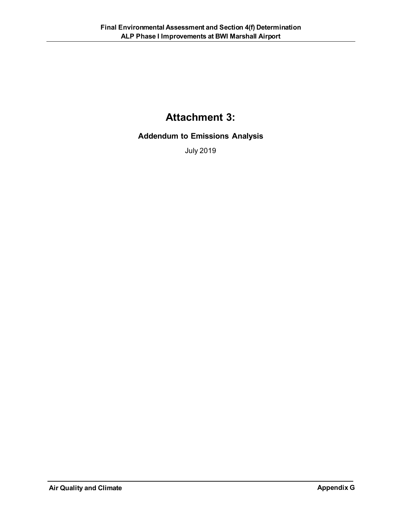# **Attachment 3:**

## **Addendum to Emissions Analysis**

July 2019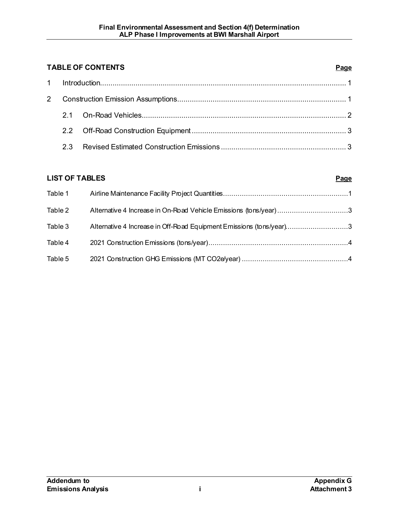### **TABLE OF CONTENTS Page**

| Paɑe |
|------|
|      |
|      |

| Table 1 |                                                                     |  |
|---------|---------------------------------------------------------------------|--|
| Table 2 | Alternative 4 Increase in On-Road Vehicle Emissions (tons/year)3    |  |
| Table 3 | Alternative 4 Increase in Off-Road Equipment Emissions (tons/year)3 |  |
| Table 4 |                                                                     |  |
| Table 5 |                                                                     |  |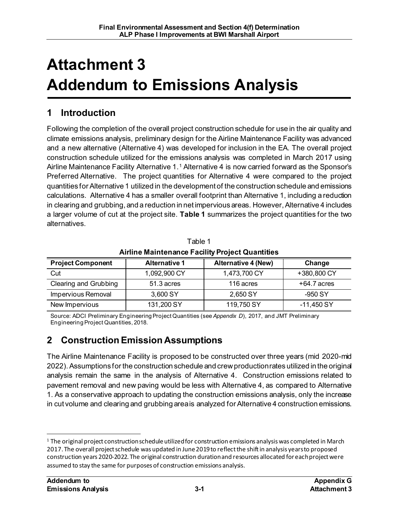# **Attachment 3 Addendum to Emissions Analysis**

# <span id="page-25-0"></span>**1 Introduction**

Following the completion of the overall project construction schedule for use in the air quality and climate emissions analysis, preliminary design for the Airline Maintenance Facility was advanced and a new alternative (Alternative 4) was developed for inclusion in the EA. The overall project construction schedule utilized for the emissions analysis was completed in March 2017 using Airline Maintenance Facility Alternative 1.[1](#page-25-3) Alternative 4 is now carried forward as the Sponsor's Preferred Alternative. The project quantities for Alternative 4 were compared to the project quantities for Alternative 1 utilized in the development of the construction schedule and emissions calculations. Alternative 4 has a smaller overall footprint than Alternative 1, including a reduction in clearing and grubbing, and a reduction in net impervious areas. However, Alternative 4 includes a larger volume of cut at the project site. **Table 1** summarizes the project quantities for the two alternatives.

| All line maillienance Facility Froject Quantities |                            |              |               |  |  |  |  |  |
|---------------------------------------------------|----------------------------|--------------|---------------|--|--|--|--|--|
| <b>Project Component</b>                          | <b>Alternative 4 (New)</b> | Change       |               |  |  |  |  |  |
| Cut                                               | 1,092,900 CY               | 1,473,700 CY | +380,800 CY   |  |  |  |  |  |
| Clearing and Grubbing                             | 51.3 acres                 | 116 acres    | $+64.7$ acres |  |  |  |  |  |
| Impervious Removal                                | 3,600 SY                   | 2,650 SY     | $-950$ SY     |  |  |  |  |  |
| New Impervious                                    | 131,200 SY                 | 119,750 SY   | $-11,450$ SY  |  |  |  |  |  |

<span id="page-25-2"></span>Table 1 **Airline Maintenance Facility Project Quantities**

Source: ADCI Preliminary Engineering Project Quantities (see *Appendix D*), 2017, and JMT Preliminary Engineering Project Quantities, 2018.

# <span id="page-25-1"></span>**2 Construction Emission Assumptions**

The Airline Maintenance Facility is proposed to be constructed over three years (mid 2020-mid 2022). Assumptions for the construction schedule and crew production rates utilized in the original analysis remain the same in the analysis of Alternative 4. Construction emissions related to pavement removal and new paving would be less with Alternative 4, as compared to Alternative 1. As a conservative approach to updating the construction emissions analysis, only the increase in cut volume and clearing and grubbing areais analyzed for Alternative 4 construction emissions.

<span id="page-25-3"></span> $1$  The original project construction schedule utilized for construction emissions analysis was completed in March 2017. The overall project schedule was updated in June 2019to reflect the shift in analysis years to proposed construction years 2020-2022. The original construction duration and resources allocated for each project were assumed to stay the same for purposes of construction emissions analysis.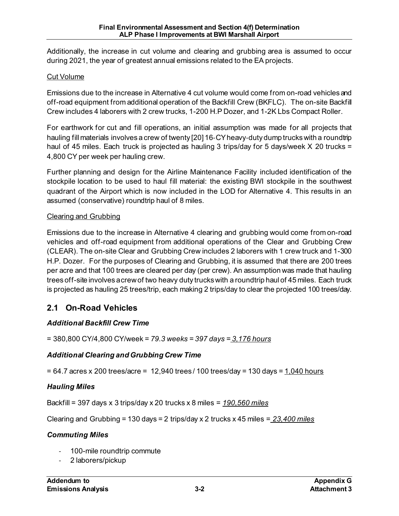Additionally, the increase in cut volume and clearing and grubbing area is assumed to occur during 2021, the year of greatest annual emissions related to the EA projects.

### Cut Volume

Emissions due to the increase in Alternative 4 cut volume would come from on-road vehicles and off-road equipment from additional operation of the Backfill Crew (BKFLC). The on-site Backfill Crew includes 4 laborers with 2 crew trucks, 1-200 H.P Dozer, and 1-2K Lbs Compact Roller.

For earthwork for cut and fill operations, an initial assumption was made for all projects that hauling fill materials involves a crew of twenty [20] 16‐CY heavy‐duty dump trucks with a roundtrip haul of 45 miles. Each truck is projected as hauling 3 trips/day for 5 days/week X 20 trucks = 4,800 CY per week per hauling crew.

Further planning and design for the Airline Maintenance Facility included identification of the stockpile location to be used to haul fill material: the existing BWI stockpile in the southwest quadrant of the Airport which is now included in the LOD for Alternative 4. This results in an assumed (conservative) roundtrip haul of 8 miles.

### Clearing and Grubbing

Emissions due to the increase in Alternative 4 clearing and grubbing would come from on-road vehicles and off-road equipment from additional operations of the Clear and Grubbing Crew (CLEAR). The on-site Clear and Grubbing Crew includes 2 laborers with 1 crew truck and 1-300 H.P. Dozer. For the purposes of Clearing and Grubbing, it is assumed that there are 200 trees per acre and that 100 trees are cleared per day (per crew). An assumption was made that hauling trees off-site involves a crew of two heavy duty trucks with a roundtrip haul of 45 miles. Each truck is projected as hauling 25 trees/trip, each making 2 trips/day to clear the projected 100 trees/day.

# <span id="page-26-0"></span>**2.1 On-Road Vehicles**

# *Additional Backfill Crew Time*

= 380,800 CY/4,800 CY/week = *79.3 weeks = 397 days = 3,176 hours*

## *Additional Clearing and Grubbing Crew Time*

 $= 64.7$  acres x 200 trees/acre = 12,940 trees/100 trees/day = 130 days = 1,040 hours

## *Hauling Miles*

Backfill = 397 days x 3 trips/day x 20 trucks x 8 miles = *190,560 miles*

Clearing and Grubbing = 130 days = 2 trips/day x 2 trucks x 45 miles = *23,400 miles*

## *Commuting Miles*

- 100-mile roundtrip commute
- 2 laborers/pickup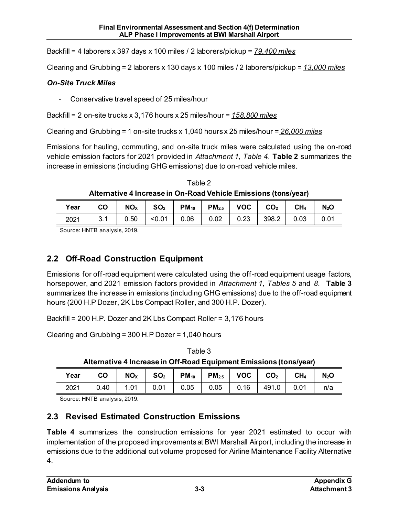Backfill = 4 laborers x 397 days x 100 miles / 2 laborers/pickup = *79,400 miles*

Clearing and Grubbing = 2 laborers x 130 days x 100 miles / 2 laborers/pickup = *13,000 miles*

### *On-Site Truck Miles*

- Conservative travel speed of 25 miles/hour

Backfill = 2 on-site trucks x 3,176 hours x 25 miles/hour = *158,800 miles*

Clearing and Grubbing = 1 on-site trucks x 1,040 hours x 25 miles/hour = *26,000 miles*

Emissions for hauling, commuting, and on-site truck miles were calculated using the on-road vehicle emission factors for 2021 provided in *Attachment 1, Table 4*. **Table 2** summarizes the increase in emissions (including GHG emissions) due to on-road vehicle miles.

<span id="page-27-2"></span>Table 2 **Alternative 4 Increase in On-Road Vehicle Emissions (tons/year)**

| Year | co  | NO <sub>X</sub> | SO <sub>2</sub> | $PM_{10}$ | PM <sub>2.5</sub> | <b>VOC</b> | CO <sub>2</sub> | CH <sub>4</sub> | N <sub>2</sub> O |
|------|-----|-----------------|-----------------|-----------|-------------------|------------|-----------------|-----------------|------------------|
| 2021 | 3.1 | 0.50            | < 0.01          |           | $0.06$ 0.02       | 0.23       | 398.2           | 0.03            | 0.01             |

Source: HNTB analysis, 2019.

# <span id="page-27-0"></span>**2.2 Off-Road Construction Equipment**

Emissions for off-road equipment were calculated using the off-road equipment usage factors, horsepower, and 2021 emission factors provided in *Attachment 1, Tables 5* and *8*. **Table 3** summarizes the increase in emissions (including GHG emissions) due to the off-road equipment hours (200 H.P Dozer, 2K Lbs Compact Roller, and 300 H.P. Dozer).

Backfill = 200 H.P. Dozer and 2K Lbs Compact Roller = 3,176 hours

Clearing and Grubbing = 300 H.P Dozer = 1,040 hours

| Alternative 4 Increase in Off-Road Equipment Emissions (tons/year) |      |                       |                 |           |                   |            |                 |      |        |  |  |
|--------------------------------------------------------------------|------|-----------------------|-----------------|-----------|-------------------|------------|-----------------|------|--------|--|--|
| Year                                                               | CO   | <b>NO<sub>x</sub></b> | SO <sub>2</sub> | $PM_{10}$ | PM <sub>2.5</sub> | <b>VOC</b> | CO <sub>2</sub> | CH4  | $N_2O$ |  |  |
| 2021                                                               | 0.40 | 1.01                  | 0.01            | 0.05      | 0.05              | 0.16       | 491.0           | 0.01 | n/a    |  |  |

<span id="page-27-3"></span>Table 3

Source: HNTB analysis, 2019.

# <span id="page-27-1"></span>**2.3 Revised Estimated Construction Emissions**

**Table 4** summarizes the construction emissions for year 2021 estimated to occur with implementation of the proposed improvements at BWI Marshall Airport, including the increase in emissions due to the additional cut volume proposed for Airline Maintenance Facility Alternative 4.